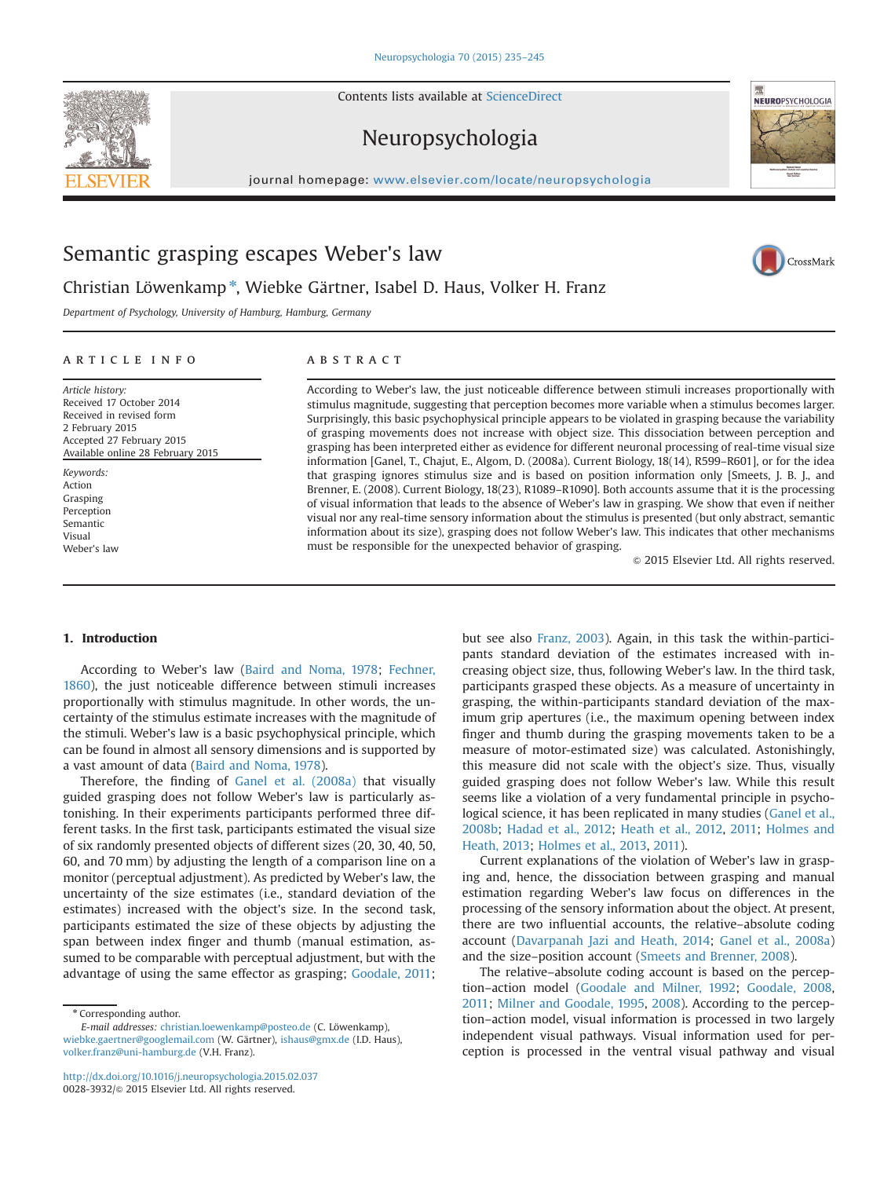Contents lists available at [ScienceDirect](www.sciencedirect.com/science/journal/00283932)

# Neuropsychologia

journal homepage: <www.elsevier.com/locate/neuropsychologia>



Christian Löwenkamp<sup>\*</sup>, Wiebke Gärtner, Isabel D. Haus, Volker H. Franz

Department of Psychology, University of Hamburg, Hamburg, Germany

### article info

Article history: Received 17 October 2014 Received in revised form 2 February 2015 Accepted 27 February 2015 Available online 28 February 2015

Keywords: Action Grasping Perception Semantic Visual Weber's law

### **ABSTRACT**

According to Weber's law, the just noticeable difference between stimuli increases proportionally with stimulus magnitude, suggesting that perception becomes more variable when a stimulus becomes larger. Surprisingly, this basic psychophysical principle appears to be violated in grasping because the variability of grasping movements does not increase with object size. This dissociation between perception and grasping has been interpreted either as evidence for different neuronal processing of real-time visual size information [Ganel, T., Chajut, E., Algom, D. (2008a). Current Biology, 18(14), R599–R601], or for the idea that grasping ignores stimulus size and is based on position information only [Smeets, J. B. J., and Brenner, E. (2008). Current Biology, 18(23), R1089–R1090]. Both accounts assume that it is the processing of visual information that leads to the absence of Weber's law in grasping. We show that even if neither visual nor any real-time sensory information about the stimulus is presented (but only abstract, semantic information about its size), grasping does not follow Weber's law. This indicates that other mechanisms must be responsible for the unexpected behavior of grasping.

 $©$  2015 Elsevier Ltd. All rights reserved.

### 1. Introduction

According to Weber's law [\(Baird and Noma, 1978;](#page-9-0) [Fechner,](#page-9-0) [1860\)](#page-9-0), the just noticeable difference between stimuli increases proportionally with stimulus magnitude. In other words, the uncertainty of the stimulus estimate increases with the magnitude of the stimuli. Weber's law is a basic psychophysical principle, which can be found in almost all sensory dimensions and is supported by a vast amount of data ([Baird and Noma, 1978](#page-9-0)).

Therefore, the finding of [Ganel et al. \(2008a\)](#page-10-0) that visually guided grasping does not follow Weber's law is particularly astonishing. In their experiments participants performed three different tasks. In the first task, participants estimated the visual size of six randomly presented objects of different sizes (20, 30, 40, 50, 60, and 70 mm) by adjusting the length of a comparison line on a monitor (perceptual adjustment). As predicted by Weber's law, the uncertainty of the size estimates (i.e., standard deviation of the estimates) increased with the object's size. In the second task, participants estimated the size of these objects by adjusting the span between index finger and thumb (manual estimation, assumed to be comparable with perceptual adjustment, but with the advantage of using the same effector as grasping; [Goodale, 2011;](#page-10-0)

E-mail addresses: [christian.loewenkamp@posteo.de](mailto:christian.loewenkamp@posteo.de) (C. Löwenkamp), [wiebke.gaertner@googlemail.com](mailto:wiebke.gaertner@googlemail.com) (W. Gärtner), [ishaus@gmx.de](mailto:ishaus@gmx.de) (I.D. Haus), [volker.franz@uni-hamburg.de](mailto:volker.franz@uni-hamburg.de) (V.H. Franz).

<http://dx.doi.org/10.1016/j.neuropsychologia.2015.02.037> 0028-3932/@ 2015 Elsevier Ltd. All rights reserved.

but see also [Franz, 2003](#page-9-0)). Again, in this task the within-participants standard deviation of the estimates increased with increasing object size, thus, following Weber's law. In the third task, participants grasped these objects. As a measure of uncertainty in grasping, the within-participants standard deviation of the maximum grip apertures (i.e., the maximum opening between index finger and thumb during the grasping movements taken to be a measure of motor-estimated size) was calculated. Astonishingly, this measure did not scale with the object's size. Thus, visually guided grasping does not follow Weber's law. While this result seems like a violation of a very fundamental principle in psychological science, it has been replicated in many studies [\(Ganel et al.,](#page-10-0) [2008b;](#page-10-0) [Hadad et al., 2012](#page-10-0); [Heath et al., 2012](#page-10-0), [2011](#page-10-0); [Holmes and](#page-10-0) [Heath, 2013](#page-10-0); [Holmes et al., 2013,](#page-10-0) [2011](#page-10-0)).

Current explanations of the violation of Weber's law in grasping and, hence, the dissociation between grasping and manual estimation regarding Weber's law focus on differences in the processing of the sensory information about the object. At present, there are two influential accounts, the relative–absolute coding account ([Davarpanah Jazi and Heath, 2014;](#page-9-0) [Ganel et al., 2008a\)](#page-10-0) and the size–position account ([Smeets and Brenner, 2008](#page-10-0)).

The relative–absolute coding account is based on the perception–action model [\(Goodale and Milner, 1992;](#page-10-0) [Goodale, 2008,](#page-10-0) [2011](#page-10-0); [Milner and Goodale, 1995](#page-10-0), [2008\)](#page-10-0). According to the perception–action model, visual information is processed in two largely independent visual pathways. Visual information used for perception is processed in the ventral visual pathway and visual





CrossMark

Corresponding author.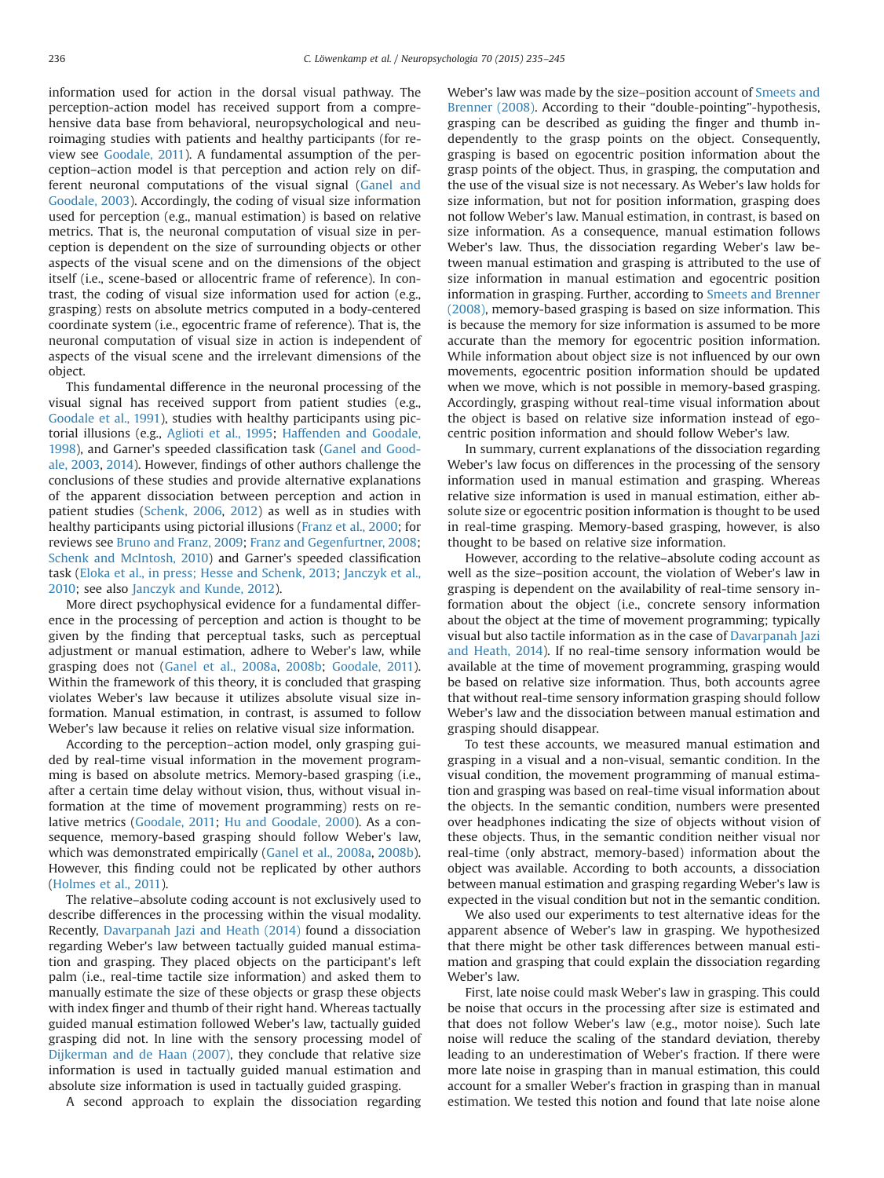information used for action in the dorsal visual pathway. The perception-action model has received support from a comprehensive data base from behavioral, neuropsychological and neuroimaging studies with patients and healthy participants (for review see [Goodale, 2011](#page-10-0)). A fundamental assumption of the perception–action model is that perception and action rely on different neuronal computations of the visual signal ([Ganel and](#page-10-0) [Goodale, 2003](#page-10-0)). Accordingly, the coding of visual size information used for perception (e.g., manual estimation) is based on relative metrics. That is, the neuronal computation of visual size in perception is dependent on the size of surrounding objects or other aspects of the visual scene and on the dimensions of the object itself (i.e., scene-based or allocentric frame of reference). In contrast, the coding of visual size information used for action (e.g., grasping) rests on absolute metrics computed in a body-centered coordinate system (i.e., egocentric frame of reference). That is, the neuronal computation of visual size in action is independent of aspects of the visual scene and the irrelevant dimensions of the object.

This fundamental difference in the neuronal processing of the visual signal has received support from patient studies (e.g., [Goodale et al., 1991](#page-10-0)), studies with healthy participants using pictorial illusions (e.g., [Aglioti et al., 1995;](#page-9-0) [Haffenden and Goodale,](#page-10-0) [1998](#page-10-0)), and Garner's speeded classification task [\(Ganel and Good](#page-10-0)[ale, 2003](#page-10-0), [2014](#page-10-0)). However, findings of other authors challenge the conclusions of these studies and provide alternative explanations of the apparent dissociation between perception and action in patient studies [\(Schenk, 2006,](#page-10-0) [2012\)](#page-10-0) as well as in studies with healthy participants using pictorial illusions [\(Franz et al., 2000;](#page-10-0) for reviews see [Bruno and Franz, 2009;](#page-9-0) [Franz and Gegenfurtner, 2008;](#page-9-0) [Schenk and McIntosh, 2010](#page-10-0)) and Garner's speeded classification task ([Eloka et al., in press; Hesse and Schenk, 2013](#page-9-0); [Janczyk et al.,](#page-10-0) [2010;](#page-10-0) see also [Janczyk and Kunde, 2012](#page-10-0)).

More direct psychophysical evidence for a fundamental difference in the processing of perception and action is thought to be given by the finding that perceptual tasks, such as perceptual adjustment or manual estimation, adhere to Weber's law, while grasping does not ([Ganel et al., 2008a,](#page-10-0) [2008b;](#page-10-0) [Goodale, 2011\)](#page-10-0). Within the framework of this theory, it is concluded that grasping violates Weber's law because it utilizes absolute visual size information. Manual estimation, in contrast, is assumed to follow Weber's law because it relies on relative visual size information.

According to the perception–action model, only grasping guided by real-time visual information in the movement programming is based on absolute metrics. Memory-based grasping (i.e., after a certain time delay without vision, thus, without visual information at the time of movement programming) rests on relative metrics [\(Goodale, 2011](#page-10-0); [Hu and Goodale, 2000\)](#page-10-0). As a consequence, memory-based grasping should follow Weber's law, which was demonstrated empirically ([Ganel et al., 2008a](#page-10-0), [2008b\)](#page-10-0). However, this finding could not be replicated by other authors ([Holmes et al., 2011\)](#page-10-0).

The relative–absolute coding account is not exclusively used to describe differences in the processing within the visual modality. Recently, [Davarpanah Jazi and Heath \(2014\)](#page-9-0) found a dissociation regarding Weber's law between tactually guided manual estimation and grasping. They placed objects on the participant's left palm (i.e., real-time tactile size information) and asked them to manually estimate the size of these objects or grasp these objects with index finger and thumb of their right hand. Whereas tactually guided manual estimation followed Weber's law, tactually guided grasping did not. In line with the sensory processing model of [Dijkerman and de Haan \(2007\)](#page-9-0), they conclude that relative size information is used in tactually guided manual estimation and absolute size information is used in tactually guided grasping.

A second approach to explain the dissociation regarding

Weber's law was made by the size–position account of [Smeets and](#page-10-0) [Brenner \(2008\)](#page-10-0). According to their "double-pointing"-hypothesis, grasping can be described as guiding the finger and thumb independently to the grasp points on the object. Consequently, grasping is based on egocentric position information about the grasp points of the object. Thus, in grasping, the computation and the use of the visual size is not necessary. As Weber's law holds for size information, but not for position information, grasping does not follow Weber's law. Manual estimation, in contrast, is based on size information. As a consequence, manual estimation follows Weber's law. Thus, the dissociation regarding Weber's law between manual estimation and grasping is attributed to the use of size information in manual estimation and egocentric position information in grasping. Further, according to [Smeets and Brenner](#page-10-0) [\(2008\)](#page-10-0), memory-based grasping is based on size information. This is because the memory for size information is assumed to be more accurate than the memory for egocentric position information. While information about object size is not influenced by our own movements, egocentric position information should be updated when we move, which is not possible in memory-based grasping. Accordingly, grasping without real-time visual information about the object is based on relative size information instead of egocentric position information and should follow Weber's law.

In summary, current explanations of the dissociation regarding Weber's law focus on differences in the processing of the sensory information used in manual estimation and grasping. Whereas relative size information is used in manual estimation, either absolute size or egocentric position information is thought to be used in real-time grasping. Memory-based grasping, however, is also thought to be based on relative size information.

However, according to the relative–absolute coding account as well as the size–position account, the violation of Weber's law in grasping is dependent on the availability of real-time sensory information about the object (i.e., concrete sensory information about the object at the time of movement programming; typically visual but also tactile information as in the case of [Davarpanah Jazi](#page-9-0) [and Heath, 2014\)](#page-9-0). If no real-time sensory information would be available at the time of movement programming, grasping would be based on relative size information. Thus, both accounts agree that without real-time sensory information grasping should follow Weber's law and the dissociation between manual estimation and grasping should disappear.

To test these accounts, we measured manual estimation and grasping in a visual and a non-visual, semantic condition. In the visual condition, the movement programming of manual estimation and grasping was based on real-time visual information about the objects. In the semantic condition, numbers were presented over headphones indicating the size of objects without vision of these objects. Thus, in the semantic condition neither visual nor real-time (only abstract, memory-based) information about the object was available. According to both accounts, a dissociation between manual estimation and grasping regarding Weber's law is expected in the visual condition but not in the semantic condition.

We also used our experiments to test alternative ideas for the apparent absence of Weber's law in grasping. We hypothesized that there might be other task differences between manual estimation and grasping that could explain the dissociation regarding Weber's law.

First, late noise could mask Weber's law in grasping. This could be noise that occurs in the processing after size is estimated and that does not follow Weber's law (e.g., motor noise). Such late noise will reduce the scaling of the standard deviation, thereby leading to an underestimation of Weber's fraction. If there were more late noise in grasping than in manual estimation, this could account for a smaller Weber's fraction in grasping than in manual estimation. We tested this notion and found that late noise alone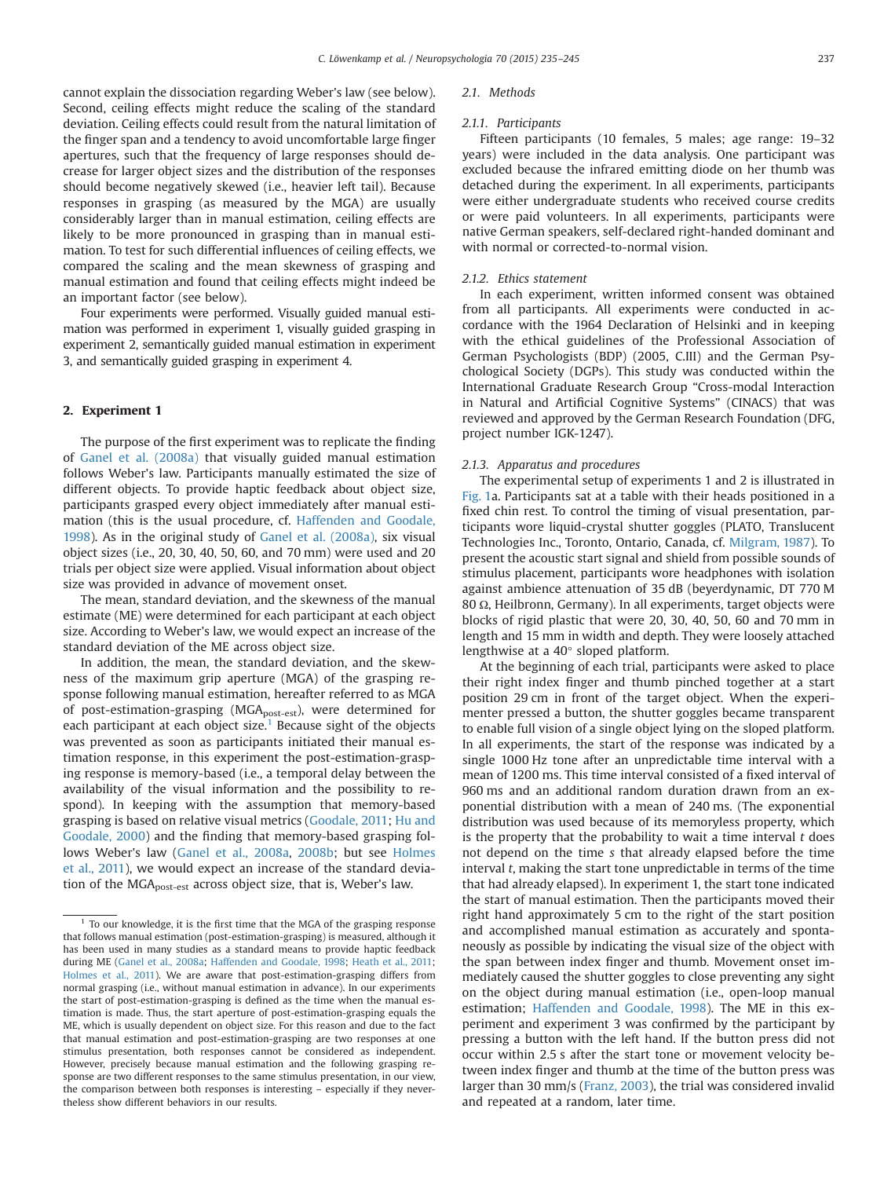cannot explain the dissociation regarding Weber's law (see below). Second, ceiling effects might reduce the scaling of the standard deviation. Ceiling effects could result from the natural limitation of the finger span and a tendency to avoid uncomfortable large finger apertures, such that the frequency of large responses should decrease for larger object sizes and the distribution of the responses should become negatively skewed (i.e., heavier left tail). Because responses in grasping (as measured by the MGA) are usually considerably larger than in manual estimation, ceiling effects are likely to be more pronounced in grasping than in manual estimation. To test for such differential influences of ceiling effects, we compared the scaling and the mean skewness of grasping and manual estimation and found that ceiling effects might indeed be an important factor (see below).

Four experiments were performed. Visually guided manual estimation was performed in experiment 1, visually guided grasping in experiment 2, semantically guided manual estimation in experiment 3, and semantically guided grasping in experiment 4.

### 2. Experiment 1

The purpose of the first experiment was to replicate the finding of [Ganel et al. \(2008a\)](#page-10-0) that visually guided manual estimation follows Weber's law. Participants manually estimated the size of different objects. To provide haptic feedback about object size, participants grasped every object immediately after manual estimation (this is the usual procedure, cf. [Haffenden and Goodale,](#page-10-0) [1998](#page-10-0)). As in the original study of [Ganel et al. \(2008a\)](#page-10-0), six visual object sizes (i.e., 20, 30, 40, 50, 60, and 70 mm) were used and 20 trials per object size were applied. Visual information about object size was provided in advance of movement onset.

The mean, standard deviation, and the skewness of the manual estimate (ME) were determined for each participant at each object size. According to Weber's law, we would expect an increase of the standard deviation of the ME across object size.

In addition, the mean, the standard deviation, and the skewness of the maximum grip aperture (MGA) of the grasping response following manual estimation, hereafter referred to as MGA of post-estimation-grasping (MGA<sub>post-est</sub>), were determined for each participant at each object size.<sup>1</sup> Because sight of the objects was prevented as soon as participants initiated their manual estimation response, in this experiment the post-estimation-grasping response is memory-based (i.e., a temporal delay between the availability of the visual information and the possibility to respond). In keeping with the assumption that memory-based grasping is based on relative visual metrics ([Goodale, 2011](#page-10-0); [Hu and](#page-10-0) [Goodale, 2000\)](#page-10-0) and the finding that memory-based grasping follows Weber's law ([Ganel et al., 2008a,](#page-10-0) [2008b;](#page-10-0) but see [Holmes](#page-10-0) [et al., 2011](#page-10-0)), we would expect an increase of the standard deviation of the MGApost-est across object size, that is, Weber's law.

### 2.1. Methods

### 2.1.1. Participants

Fifteen participants (10 females, 5 males; age range: 19–32 years) were included in the data analysis. One participant was excluded because the infrared emitting diode on her thumb was detached during the experiment. In all experiments, participants were either undergraduate students who received course credits or were paid volunteers. In all experiments, participants were native German speakers, self-declared right-handed dominant and with normal or corrected-to-normal vision.

### 2.1.2. Ethics statement

In each experiment, written informed consent was obtained from all participants. All experiments were conducted in accordance with the 1964 Declaration of Helsinki and in keeping with the ethical guidelines of the Professional Association of German Psychologists (BDP) (2005, C.III) and the German Psychological Society (DGPs). This study was conducted within the International Graduate Research Group "Cross-modal Interaction in Natural and Artificial Cognitive Systems" (CINACS) that was reviewed and approved by the German Research Foundation (DFG, project number IGK-1247).

### 2.1.3. Apparatus and procedures

The experimental setup of experiments 1 and 2 is illustrated in [Fig. 1](#page-3-0)a. Participants sat at a table with their heads positioned in a fixed chin rest. To control the timing of visual presentation, participants wore liquid-crystal shutter goggles (PLATO, Translucent Technologies Inc., Toronto, Ontario, Canada, cf. [Milgram, 1987](#page-10-0)). To present the acoustic start signal and shield from possible sounds of stimulus placement, participants wore headphones with isolation against ambience attenuation of 35 dB (beyerdynamic, DT 770 M 80 Ω, Heilbronn, Germany). In all experiments, target objects were blocks of rigid plastic that were 20, 30, 40, 50, 60 and 70 mm in length and 15 mm in width and depth. They were loosely attached lengthwise at a 40° sloped platform.

At the beginning of each trial, participants were asked to place their right index finger and thumb pinched together at a start position 29 cm in front of the target object. When the experimenter pressed a button, the shutter goggles became transparent to enable full vision of a single object lying on the sloped platform. In all experiments, the start of the response was indicated by a single 1000 Hz tone after an unpredictable time interval with a mean of 1200 ms. This time interval consisted of a fixed interval of 960 ms and an additional random duration drawn from an exponential distribution with a mean of 240 ms. (The exponential distribution was used because of its memoryless property, which is the property that the probability to wait a time interval  $t$  does not depend on the time s that already elapsed before the time interval  $t$ , making the start tone unpredictable in terms of the time that had already elapsed). In experiment 1, the start tone indicated the start of manual estimation. Then the participants moved their right hand approximately 5 cm to the right of the start position and accomplished manual estimation as accurately and spontaneously as possible by indicating the visual size of the object with the span between index finger and thumb. Movement onset immediately caused the shutter goggles to close preventing any sight on the object during manual estimation (i.e., open-loop manual estimation; [Haffenden and Goodale, 1998](#page-10-0)). The ME in this experiment and experiment 3 was confirmed by the participant by pressing a button with the left hand. If the button press did not occur within 2.5 s after the start tone or movement velocity between index finger and thumb at the time of the button press was larger than 30 mm/s ([Franz, 2003](#page-9-0)), the trial was considered invalid and repeated at a random, later time.

<sup>1</sup> To our knowledge, it is the first time that the MGA of the grasping response that follows manual estimation (post-estimation-grasping) is measured, although it has been used in many studies as a standard means to provide haptic feedback during ME ([Ganel et al., 2008a](#page-10-0); [Haffenden and Goodale, 1998;](#page-10-0) [Heath et al., 2011](#page-10-0); [Holmes et al., 2011\)](#page-10-0). We are aware that post-estimation-grasping differs from normal grasping (i.e., without manual estimation in advance). In our experiments the start of post-estimation-grasping is defined as the time when the manual estimation is made. Thus, the start aperture of post-estimation-grasping equals the ME, which is usually dependent on object size. For this reason and due to the fact that manual estimation and post-estimation-grasping are two responses at one stimulus presentation, both responses cannot be considered as independent. However, precisely because manual estimation and the following grasping response are two different responses to the same stimulus presentation, in our view, the comparison between both responses is interesting – especially if they nevertheless show different behaviors in our results.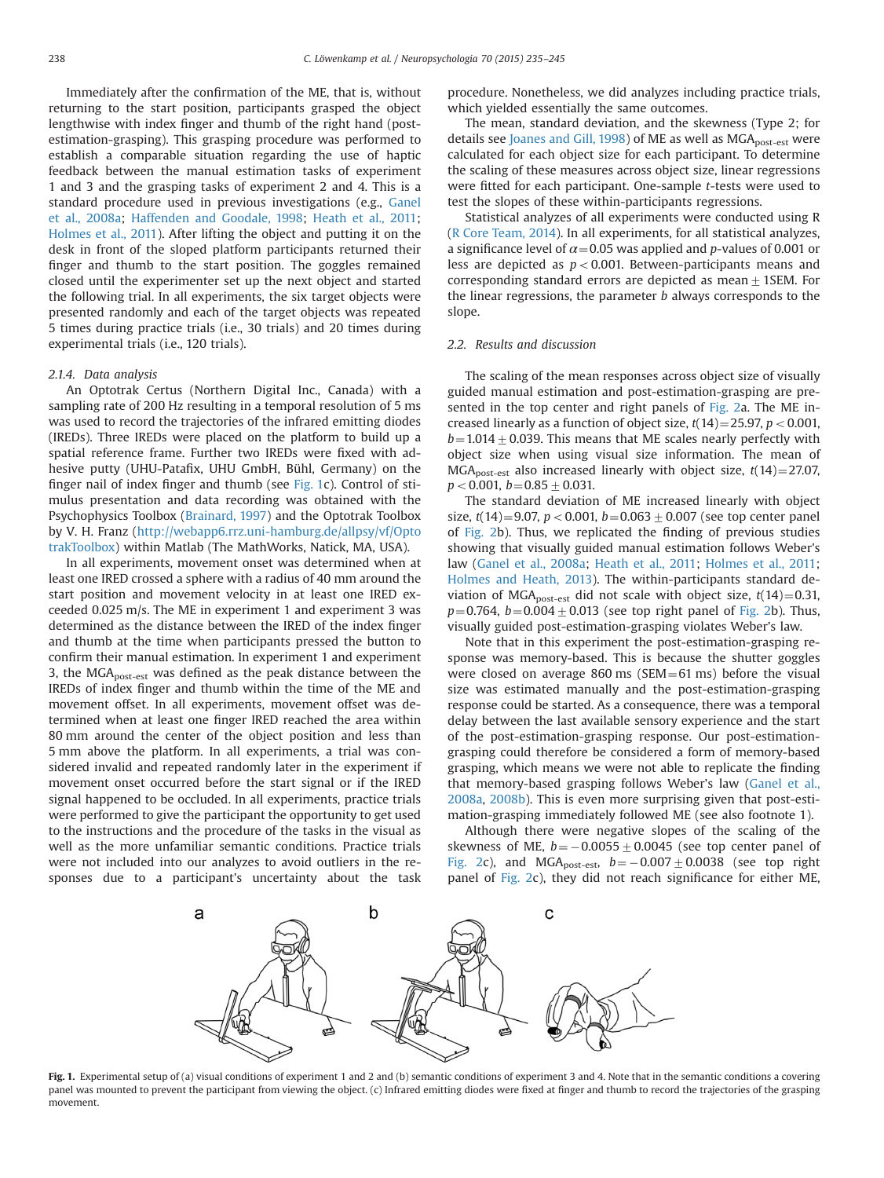<span id="page-3-0"></span>Immediately after the confirmation of the ME, that is, without returning to the start position, participants grasped the object lengthwise with index finger and thumb of the right hand (postestimation-grasping). This grasping procedure was performed to establish a comparable situation regarding the use of haptic feedback between the manual estimation tasks of experiment 1 and 3 and the grasping tasks of experiment 2 and 4. This is a standard procedure used in previous investigations (e.g., [Ganel](#page-10-0) [et al., 2008a;](#page-10-0) [Haffenden and Goodale, 1998](#page-10-0); [Heath et al., 2011;](#page-10-0) [Holmes et al., 2011](#page-10-0)). After lifting the object and putting it on the desk in front of the sloped platform participants returned their finger and thumb to the start position. The goggles remained closed until the experimenter set up the next object and started the following trial. In all experiments, the six target objects were presented randomly and each of the target objects was repeated 5 times during practice trials (i.e., 30 trials) and 20 times during experimental trials (i.e., 120 trials).

### 2.1.4. Data analysis

An Optotrak Certus (Northern Digital Inc., Canada) with a sampling rate of 200 Hz resulting in a temporal resolution of 5 ms was used to record the trajectories of the infrared emitting diodes (IREDs). Three IREDs were placed on the platform to build up a spatial reference frame. Further two IREDs were fixed with adhesive putty (UHU-Patafix, UHU GmbH, Bühl, Germany) on the finger nail of index finger and thumb (see Fig. 1c). Control of stimulus presentation and data recording was obtained with the Psychophysics Toolbox ([Brainard, 1997\)](#page-9-0) and the Optotrak Toolbox by V. H. Franz [\(http://webapp6.rrz.uni-hamburg.de/allpsy/vf/Opto](http://webapp6.rrz.uni-hamburg.de/allpsy/vf/OptotrakToolbox) [trakToolbox](http://webapp6.rrz.uni-hamburg.de/allpsy/vf/OptotrakToolbox)) within Matlab (The MathWorks, Natick, MA, USA).

In all experiments, movement onset was determined when at least one IRED crossed a sphere with a radius of 40 mm around the start position and movement velocity in at least one IRED exceeded 0.025 m/s. The ME in experiment 1 and experiment 3 was determined as the distance between the IRED of the index finger and thumb at the time when participants pressed the button to confirm their manual estimation. In experiment 1 and experiment 3, the MGA<sub>post-est</sub> was defined as the peak distance between the IREDs of index finger and thumb within the time of the ME and movement offset. In all experiments, movement offset was determined when at least one finger IRED reached the area within 80 mm around the center of the object position and less than 5 mm above the platform. In all experiments, a trial was considered invalid and repeated randomly later in the experiment if movement onset occurred before the start signal or if the IRED signal happened to be occluded. In all experiments, practice trials were performed to give the participant the opportunity to get used to the instructions and the procedure of the tasks in the visual as well as the more unfamiliar semantic conditions. Practice trials were not included into our analyzes to avoid outliers in the responses due to a participant's uncertainty about the task procedure. Nonetheless, we did analyzes including practice trials, which yielded essentially the same outcomes.

The mean, standard deviation, and the skewness (Type 2; for details see [Joanes and Gill, 1998\)](#page-10-0) of ME as well as MGA<sub>post-est</sub> were calculated for each object size for each participant. To determine the scaling of these measures across object size, linear regressions were fitted for each participant. One-sample t-tests were used to test the slopes of these within-participants regressions.

Statistical analyzes of all experiments were conducted using R ([R Core Team, 2014\)](#page-10-0). In all experiments, for all statistical analyzes, a significance level of  $\alpha$  = 0.05 was applied and p-values of 0.001 or less are depicted as  $p < 0.001$ . Between-participants means and corresponding standard errors are depicted as mean  $\pm$  1SEM. For the linear regressions, the parameter  $b$  always corresponds to the slope.

### 2.2. Results and discussion

The scaling of the mean responses across object size of visually guided manual estimation and post-estimation-grasping are presented in the top center and right panels of [Fig. 2](#page-4-0)a. The ME increased linearly as a function of object size,  $t(14) = 25.97$ ,  $p < 0.001$ ,  $b=1.014\pm0.039$ . This means that ME scales nearly perfectly with object size when using visual size information. The mean of  $MGA<sub>post-est</sub>$  also increased linearly with object size,  $t(14)=27.07$ ,  $p < 0.001$ ,  $b = 0.85 \pm 0.031$ .

The standard deviation of ME increased linearly with object size,  $t(14)=9.07$ ,  $p < 0.001$ ,  $b=0.063 \pm 0.007$  (see top center panel of [Fig. 2b](#page-4-0)). Thus, we replicated the finding of previous studies showing that visually guided manual estimation follows Weber's law ([Ganel et al., 2008a;](#page-10-0) [Heath et al., 2011](#page-10-0); [Holmes et al., 2011;](#page-10-0) [Holmes and Heath, 2013](#page-10-0)). The within-participants standard deviation of MGA<sub>post-est</sub> did not scale with object size,  $t(14)=0.31$ ,  $p=0.764$ ,  $b=0.004\pm0.013$  (see top right panel of [Fig. 2b](#page-4-0)). Thus, visually guided post-estimation-grasping violates Weber's law.

Note that in this experiment the post-estimation-grasping response was memory-based. This is because the shutter goggles were closed on average 860 ms ( $SEM = 61$  ms) before the visual size was estimated manually and the post-estimation-grasping response could be started. As a consequence, there was a temporal delay between the last available sensory experience and the start of the post-estimation-grasping response. Our post-estimationgrasping could therefore be considered a form of memory-based grasping, which means we were not able to replicate the finding that memory-based grasping follows Weber's law [\(Ganel et al.,](#page-10-0) [2008a](#page-10-0), [2008b](#page-10-0)). This is even more surprising given that post-estimation-grasping immediately followed ME (see also footnote 1).

Although there were negative slopes of the scaling of the skewness of ME,  $b = -0.0055 \pm 0.0045$  (see top center panel of [Fig. 2c](#page-4-0)), and MGA<sub>post-est</sub>,  $b = -0.007 \pm 0.0038$  (see top right panel of [Fig. 2](#page-4-0)c), they did not reach significance for either ME,



Fig. 1. Experimental setup of (a) visual conditions of experiment 1 and 2 and (b) semantic conditions of experiment 3 and 4. Note that in the semantic conditions a covering panel was mounted to prevent the participant from viewing the object. (c) Infrared emitting diodes were fixed at finger and thumb to record the trajectories of the grasping movement.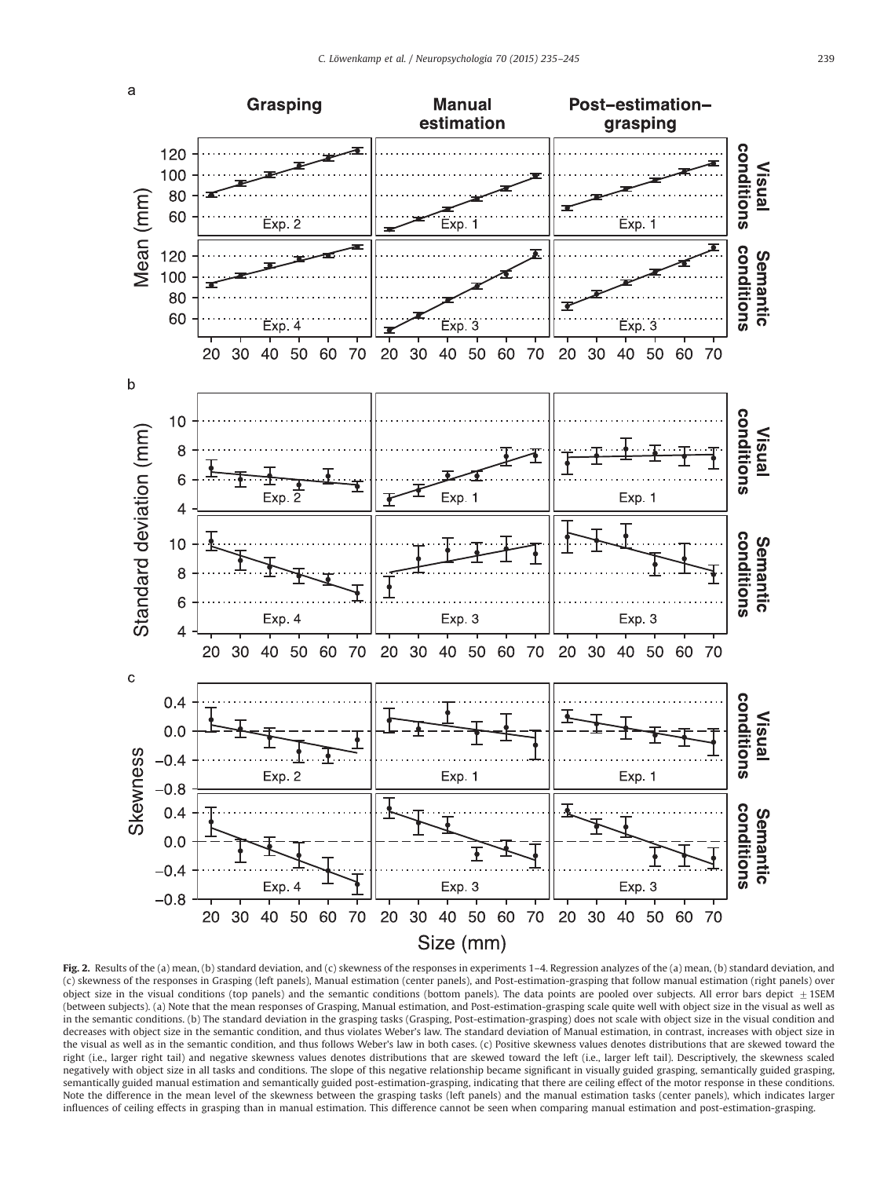<span id="page-4-0"></span>

Fig. 2. Results of the (a) mean, (b) standard deviation, and (c) skewness of the responses in experiments 1-4. Regression analyzes of the (a) mean, (b) standard deviation, and (c) skewness of the responses in Grasping (left panels), Manual estimation (center panels), and Post-estimation-grasping that follow manual estimation (right panels) over object size in the visual conditions (top panels) and the semantic conditions (bottom panels). The data points are pooled over subjects. All error bars depict  $\pm$  1SEM (between subjects). (a) Note that the mean responses of Grasping, Manual estimation, and Post-estimation-grasping scale quite well with object size in the visual as well as in the semantic conditions. (b) The standard deviation in the grasping tasks (Grasping, Post-estimation-grasping) does not scale with object size in the visual condition and decreases with object size in the semantic condition, and thus violates Weber's law. The standard deviation of Manual estimation, in contrast, increases with object size in the visual as well as in the semantic condition, and thus follows Weber's law in both cases. (c) Positive skewness values denotes distributions that are skewed toward the right (i.e., larger right tail) and negative skewness values denotes distributions that are skewed toward the left (i.e., larger left tail). Descriptively, the skewness scaled negatively with object size in all tasks and conditions. The slope of this negative relationship became significant in visually guided grasping, semantically guided grasping, semantically guided manual estimation and semantically guided post-estimation-grasping, indicating that there are ceiling effect of the motor response in these conditions. Note the difference in the mean level of the skewness between the grasping tasks (left panels) and the manual estimation tasks (center panels), which indicates larger influences of ceiling effects in grasping than in manual estimation. This difference cannot be seen when comparing manual estimation and post-estimation-grasping.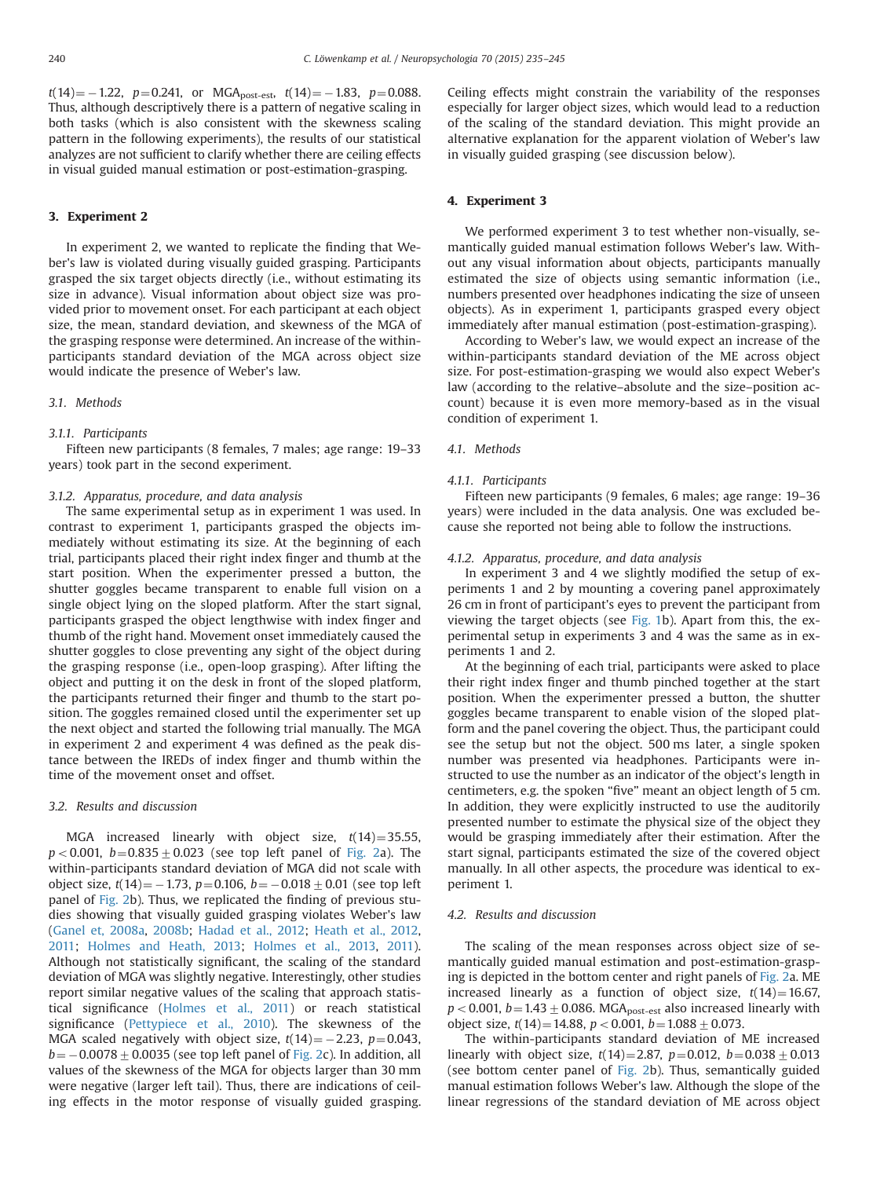<span id="page-5-0"></span> $t(14) = -1.22$ ,  $p=0.241$ , or MGA<sub>post-est</sub>,  $t(14) = -1.83$ ,  $p=0.088$ . Thus, although descriptively there is a pattern of negative scaling in both tasks (which is also consistent with the skewness scaling pattern in the following experiments), the results of our statistical analyzes are not sufficient to clarify whether there are ceiling effects in visual guided manual estimation or post-estimation-grasping.

### 3. Experiment 2

In experiment 2, we wanted to replicate the finding that Weber's law is violated during visually guided grasping. Participants grasped the six target objects directly (i.e., without estimating its size in advance). Visual information about object size was provided prior to movement onset. For each participant at each object size, the mean, standard deviation, and skewness of the MGA of the grasping response were determined. An increase of the withinparticipants standard deviation of the MGA across object size would indicate the presence of Weber's law.

# 3.1. Methods

#### 3.1.1. Participants

Fifteen new participants (8 females, 7 males; age range: 19–33 years) took part in the second experiment.

#### 3.1.2. Apparatus, procedure, and data analysis

The same experimental setup as in experiment 1 was used. In contrast to experiment 1, participants grasped the objects immediately without estimating its size. At the beginning of each trial, participants placed their right index finger and thumb at the start position. When the experimenter pressed a button, the shutter goggles became transparent to enable full vision on a single object lying on the sloped platform. After the start signal, participants grasped the object lengthwise with index finger and thumb of the right hand. Movement onset immediately caused the shutter goggles to close preventing any sight of the object during the grasping response (i.e., open-loop grasping). After lifting the object and putting it on the desk in front of the sloped platform, the participants returned their finger and thumb to the start position. The goggles remained closed until the experimenter set up the next object and started the following trial manually. The MGA in experiment 2 and experiment 4 was defined as the peak distance between the IREDs of index finger and thumb within the time of the movement onset and offset.

### 3.2. Results and discussion

MGA increased linearly with object size,  $t(14)=35.55$ ,  $p < 0.001$ ,  $b = 0.835 \pm 0.023$  (see top left panel of [Fig. 2](#page-4-0)a). The within-participants standard deviation of MGA did not scale with object size,  $t(14) = -1.73$ ,  $p = 0.106$ ,  $b = -0.018 \pm 0.01$  (see top left panel of [Fig. 2](#page-4-0)b). Thus, we replicated the finding of previous studies showing that visually guided grasping violates Weber's law ([Ganel et, 2008a,](#page-10-0) [2008b](#page-10-0); [Hadad et al., 2012](#page-10-0); [Heath et al., 2012,](#page-10-0) [2011;](#page-10-0) [Holmes and Heath, 2013](#page-10-0); [Holmes et al., 2013](#page-10-0), [2011\)](#page-10-0). Although not statistically significant, the scaling of the standard deviation of MGA was slightly negative. Interestingly, other studies report similar negative values of the scaling that approach statistical significance ([Holmes et al., 2011](#page-10-0)) or reach statistical significance ([Pettypiece et al., 2010](#page-10-0)). The skewness of the MGA scaled negatively with object size,  $t(14) = -2.23$ ,  $p=0.043$ ,  $b = -0.0078 \pm 0.0035$  (see top left panel of [Fig. 2c](#page-4-0)). In addition, all values of the skewness of the MGA for objects larger than 30 mm were negative (larger left tail). Thus, there are indications of ceiling effects in the motor response of visually guided grasping.

Ceiling effects might constrain the variability of the responses especially for larger object sizes, which would lead to a reduction of the scaling of the standard deviation. This might provide an alternative explanation for the apparent violation of Weber's law in visually guided grasping (see discussion below).

### 4. Experiment 3

We performed experiment 3 to test whether non-visually, semantically guided manual estimation follows Weber's law. Without any visual information about objects, participants manually estimated the size of objects using semantic information (i.e., numbers presented over headphones indicating the size of unseen objects). As in experiment 1, participants grasped every object immediately after manual estimation (post-estimation-grasping).

According to Weber's law, we would expect an increase of the within-participants standard deviation of the ME across object size. For post-estimation-grasping we would also expect Weber's law (according to the relative–absolute and the size–position account) because it is even more memory-based as in the visual condition of experiment 1.

### 4.1. Methods

#### 4.1.1. Participants

Fifteen new participants (9 females, 6 males; age range: 19–36 years) were included in the data analysis. One was excluded because she reported not being able to follow the instructions.

# 4.1.2. Apparatus, procedure, and data analysis

In experiment 3 and 4 we slightly modified the setup of experiments 1 and 2 by mounting a covering panel approximately 26 cm in front of participant's eyes to prevent the participant from viewing the target objects (see [Fig. 1](#page-3-0)b). Apart from this, the experimental setup in experiments 3 and 4 was the same as in experiments 1 and 2.

At the beginning of each trial, participants were asked to place their right index finger and thumb pinched together at the start position. When the experimenter pressed a button, the shutter goggles became transparent to enable vision of the sloped platform and the panel covering the object. Thus, the participant could see the setup but not the object. 500 ms later, a single spoken number was presented via headphones. Participants were instructed to use the number as an indicator of the object's length in centimeters, e.g. the spoken "five" meant an object length of 5 cm. In addition, they were explicitly instructed to use the auditorily presented number to estimate the physical size of the object they would be grasping immediately after their estimation. After the start signal, participants estimated the size of the covered object manually. In all other aspects, the procedure was identical to experiment 1.

### 4.2. Results and discussion

The scaling of the mean responses across object size of semantically guided manual estimation and post-estimation-grasping is depicted in the bottom center and right panels of [Fig. 2](#page-4-0)a. ME increased linearly as a function of object size,  $t(14)=16.67$ ,  $p < 0.001$ ,  $b = 1.43 \pm 0.086$ . MGA<sub>post-est</sub> also increased linearly with object size,  $t(14) = 14.88$ ,  $p < 0.001$ ,  $b = 1.088 \pm 0.073$ .

The within-participants standard deviation of ME increased linearly with object size,  $t(14)=2.87$ ,  $p=0.012$ ,  $b=0.038\pm0.013$ (see bottom center panel of [Fig. 2b](#page-4-0)). Thus, semantically guided manual estimation follows Weber's law. Although the slope of the linear regressions of the standard deviation of ME across object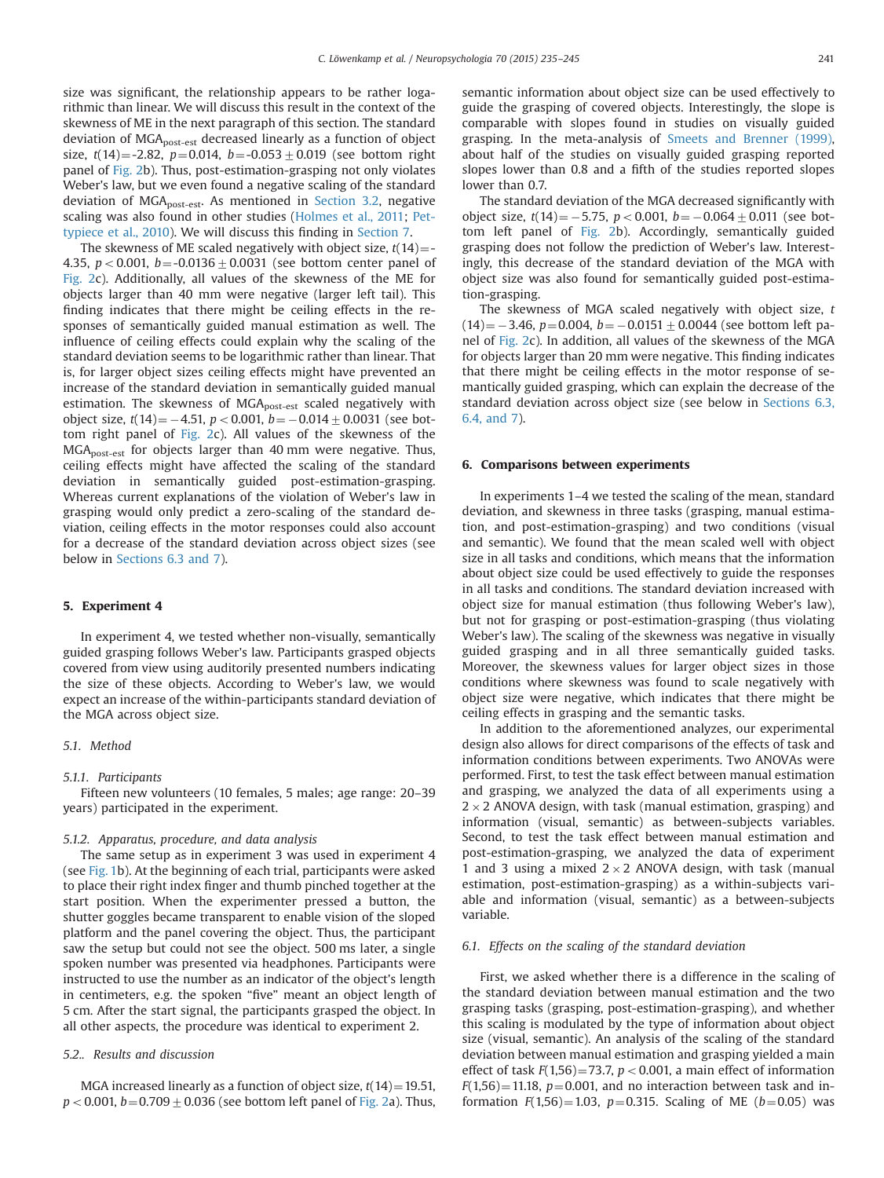<span id="page-6-0"></span>size was significant, the relationship appears to be rather logarithmic than linear. We will discuss this result in the context of the skewness of ME in the next paragraph of this section. The standard deviation of MGApost-est decreased linearly as a function of object size,  $t(14) = -2.82$ ,  $p = 0.014$ ,  $b = -0.053 \pm 0.019$  (see bottom right panel of [Fig. 2b](#page-4-0)). Thus, post-estimation-grasping not only violates Weber's law, but we even found a negative scaling of the standard deviation of MGA<sub>post-est</sub>. As mentioned in [Section 3.2](#page-5-0), negative scaling was also found in other studies ([Holmes et al., 2011](#page-10-0); [Pet](#page-10-0)[typiece et al., 2010](#page-10-0)). We will discuss this finding in [Section 7](#page-8-0).

The skewness of ME scaled negatively with object size,  $t(14)$ =-4.35,  $p < 0.001$ ,  $b = -0.0136 \pm 0.0031$  (see bottom center panel of [Fig. 2](#page-4-0)c). Additionally, all values of the skewness of the ME for objects larger than 40 mm were negative (larger left tail). This finding indicates that there might be ceiling effects in the responses of semantically guided manual estimation as well. The influence of ceiling effects could explain why the scaling of the standard deviation seems to be logarithmic rather than linear. That is, for larger object sizes ceiling effects might have prevented an increase of the standard deviation in semantically guided manual estimation. The skewness of MGA<sub>post-est</sub> scaled negatively with object size,  $t(14) = -4.51$ ,  $p < 0.001$ ,  $b = -0.014 \pm 0.0031$  (see bottom right panel of [Fig. 2](#page-4-0)c). All values of the skewness of the MGApost-est for objects larger than 40 mm were negative. Thus, ceiling effects might have affected the scaling of the standard deviation in semantically guided post-estimation-grasping. Whereas current explanations of the violation of Weber's law in grasping would only predict a zero-scaling of the standard deviation, ceiling effects in the motor responses could also account for a decrease of the standard deviation across object sizes (see below in [Sections 6.3 and 7\)](#page-8-0).

### 5. Experiment 4

In experiment 4, we tested whether non-visually, semantically guided grasping follows Weber's law. Participants grasped objects covered from view using auditorily presented numbers indicating the size of these objects. According to Weber's law, we would expect an increase of the within-participants standard deviation of the MGA across object size.

### 5.1. Method

### 5.1.1. Participants

Fifteen new volunteers (10 females, 5 males; age range: 20–39 years) participated in the experiment.

### 5.1.2. Apparatus, procedure, and data analysis

The same setup as in experiment 3 was used in experiment 4 (see [Fig. 1](#page-3-0)b). At the beginning of each trial, participants were asked to place their right index finger and thumb pinched together at the start position. When the experimenter pressed a button, the shutter goggles became transparent to enable vision of the sloped platform and the panel covering the object. Thus, the participant saw the setup but could not see the object. 500 ms later, a single spoken number was presented via headphones. Participants were instructed to use the number as an indicator of the object's length in centimeters, e.g. the spoken "five" meant an object length of 5 cm. After the start signal, the participants grasped the object. In all other aspects, the procedure was identical to experiment 2.

### 5.2.. Results and discussion

MGA increased linearly as a function of object size,  $t(14) = 19.51$ ,  $p < 0.001$ ,  $b = 0.709 \pm 0.036$  (see bottom left panel of [Fig. 2](#page-4-0)a). Thus, semantic information about object size can be used effectively to guide the grasping of covered objects. Interestingly, the slope is comparable with slopes found in studies on visually guided grasping. In the meta-analysis of [Smeets and Brenner \(1999\),](#page-10-0) about half of the studies on visually guided grasping reported slopes lower than 0.8 and a fifth of the studies reported slopes lower than 0.7.

The standard deviation of the MGA decreased significantly with object size,  $t(14) = -5.75$ ,  $p < 0.001$ ,  $b = -0.064 \pm 0.011$  (see bottom left panel of [Fig. 2](#page-4-0)b). Accordingly, semantically guided grasping does not follow the prediction of Weber's law. Interestingly, this decrease of the standard deviation of the MGA with object size was also found for semantically guided post-estimation-grasping.

The skewness of MGA scaled negatively with object size, t  $(14) = -3.46$ ,  $p = 0.004$ ,  $b = -0.0151 \pm 0.0044$  (see bottom left panel of [Fig. 2c](#page-4-0)). In addition, all values of the skewness of the MGA for objects larger than 20 mm were negative. This finding indicates that there might be ceiling effects in the motor response of semantically guided grasping, which can explain the decrease of the standard deviation across object size (see below in [Sections 6.3,](#page-8-0) [6.4, and 7](#page-8-0)).

### 6. Comparisons between experiments

In experiments 1–4 we tested the scaling of the mean, standard deviation, and skewness in three tasks (grasping, manual estimation, and post-estimation-grasping) and two conditions (visual and semantic). We found that the mean scaled well with object size in all tasks and conditions, which means that the information about object size could be used effectively to guide the responses in all tasks and conditions. The standard deviation increased with object size for manual estimation (thus following Weber's law), but not for grasping or post-estimation-grasping (thus violating Weber's law). The scaling of the skewness was negative in visually guided grasping and in all three semantically guided tasks. Moreover, the skewness values for larger object sizes in those conditions where skewness was found to scale negatively with object size were negative, which indicates that there might be ceiling effects in grasping and the semantic tasks.

In addition to the aforementioned analyzes, our experimental design also allows for direct comparisons of the effects of task and information conditions between experiments. Two ANOVAs were performed. First, to test the task effect between manual estimation and grasping, we analyzed the data of all experiments using a  $2 \times 2$  ANOVA design, with task (manual estimation, grasping) and information (visual, semantic) as between-subjects variables. Second, to test the task effect between manual estimation and post-estimation-grasping, we analyzed the data of experiment 1 and 3 using a mixed  $2 \times 2$  ANOVA design, with task (manual estimation, post-estimation-grasping) as a within-subjects variable and information (visual, semantic) as a between-subjects variable.

### 6.1. Effects on the scaling of the standard deviation

First, we asked whether there is a difference in the scaling of the standard deviation between manual estimation and the two grasping tasks (grasping, post-estimation-grasping), and whether this scaling is modulated by the type of information about object size (visual, semantic). An analysis of the scaling of the standard deviation between manual estimation and grasping yielded a main effect of task  $F(1,56) = 73.7$ ,  $p < 0.001$ , a main effect of information  $F(1,56) = 11.18$ ,  $p = 0.001$ , and no interaction between task and information  $F(1,56) = 1.03$ ,  $p = 0.315$ . Scaling of ME ( $b = 0.05$ ) was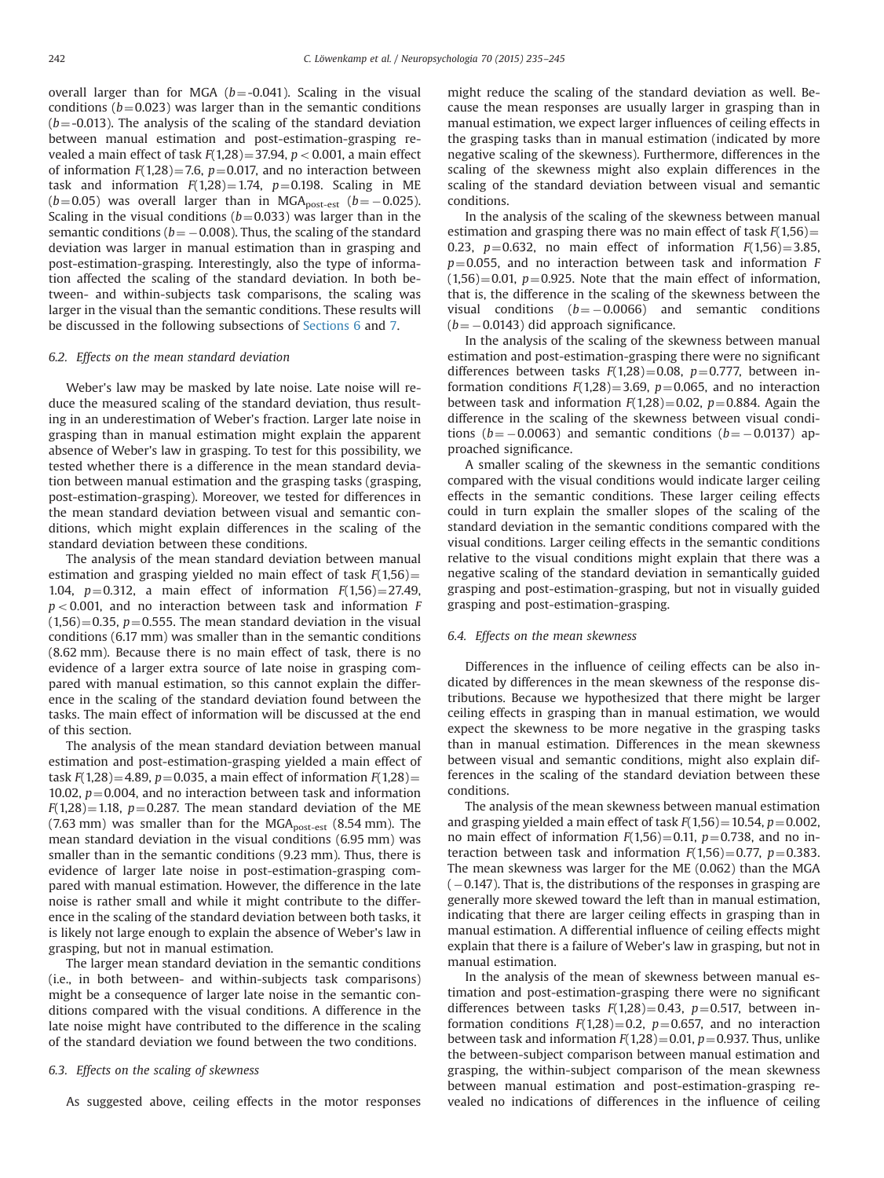overall larger than for MGA  $(b=-0.041)$ . Scaling in the visual conditions ( $b=0.023$ ) was larger than in the semantic conditions  $(b=-0.013)$ . The analysis of the scaling of the standard deviation between manual estimation and post-estimation-grasping revealed a main effect of task  $F(1,28) = 37.94$ ,  $p < 0.001$ , a main effect of information  $F(1,28) = 7.6$ ,  $p = 0.017$ , and no interaction between task and information  $F(1,28) = 1.74$ ,  $p = 0.198$ . Scaling in ME  $(b=0.05)$  was overall larger than in MGA<sub>post-est</sub>  $(b=-0.025)$ . Scaling in the visual conditions ( $b=0.033$ ) was larger than in the semantic conditions ( $b = -0.008$ ). Thus, the scaling of the standard deviation was larger in manual estimation than in grasping and post-estimation-grasping. Interestingly, also the type of information affected the scaling of the standard deviation. In both between- and within-subjects task comparisons, the scaling was larger in the visual than the semantic conditions. These results will be discussed in the following subsections of [Sections 6](#page-6-0) and [7.](#page-8-0)

# 6.2. Effects on the mean standard deviation

Weber's law may be masked by late noise. Late noise will reduce the measured scaling of the standard deviation, thus resulting in an underestimation of Weber's fraction. Larger late noise in grasping than in manual estimation might explain the apparent absence of Weber's law in grasping. To test for this possibility, we tested whether there is a difference in the mean standard deviation between manual estimation and the grasping tasks (grasping, post-estimation-grasping). Moreover, we tested for differences in the mean standard deviation between visual and semantic conditions, which might explain differences in the scaling of the standard deviation between these conditions.

The analysis of the mean standard deviation between manual estimation and grasping yielded no main effect of task  $F(1,56)$  = 1.04,  $p=0.312$ , a main effect of information  $F(1,56)=27.49$ ,  $p < 0.001$ , and no interaction between task and information F  $(1,56) = 0.35$ ,  $p = 0.555$ . The mean standard deviation in the visual conditions (6.17 mm) was smaller than in the semantic conditions (8.62 mm). Because there is no main effect of task, there is no evidence of a larger extra source of late noise in grasping compared with manual estimation, so this cannot explain the difference in the scaling of the standard deviation found between the tasks. The main effect of information will be discussed at the end of this section.

The analysis of the mean standard deviation between manual estimation and post-estimation-grasping yielded a main effect of task  $F(1,28) = 4.89$ ,  $p = 0.035$ , a main effect of information  $F(1,28) =$ 10.02,  $p = 0.004$ , and no interaction between task and information  $F(1,28) = 1.18$ , p=0.287. The mean standard deviation of the ME (7.63 mm) was smaller than for the  $MGA<sub>post-est</sub>$  (8.54 mm). The mean standard deviation in the visual conditions (6.95 mm) was smaller than in the semantic conditions (9.23 mm). Thus, there is evidence of larger late noise in post-estimation-grasping compared with manual estimation. However, the difference in the late noise is rather small and while it might contribute to the difference in the scaling of the standard deviation between both tasks, it is likely not large enough to explain the absence of Weber's law in grasping, but not in manual estimation.

The larger mean standard deviation in the semantic conditions (i.e., in both between- and within-subjects task comparisons) might be a consequence of larger late noise in the semantic conditions compared with the visual conditions. A difference in the late noise might have contributed to the difference in the scaling of the standard deviation we found between the two conditions.

### 6.3. Effects on the scaling of skewness

As suggested above, ceiling effects in the motor responses

might reduce the scaling of the standard deviation as well. Because the mean responses are usually larger in grasping than in manual estimation, we expect larger influences of ceiling effects in the grasping tasks than in manual estimation (indicated by more negative scaling of the skewness). Furthermore, differences in the scaling of the skewness might also explain differences in the scaling of the standard deviation between visual and semantic conditions.

In the analysis of the scaling of the skewness between manual estimation and grasping there was no main effect of task  $F(1.56)$  = 0.23,  $p=0.632$ , no main effect of information  $F(1.56)=3.85$ .  $p=0.055$ , and no interaction between task and information F  $(1.56) = 0.01$ ,  $p = 0.925$ . Note that the main effect of information, that is, the difference in the scaling of the skewness between the visual conditions  $(b = -0.0066)$  and semantic conditions  $(b = -0.0143)$  did approach significance.

In the analysis of the scaling of the skewness between manual estimation and post-estimation-grasping there were no significant differences between tasks  $F(1,28)=0.08$ ,  $p=0.777$ , between information conditions  $F(1,28) = 3.69$ ,  $p = 0.065$ , and no interaction between task and information  $F(1,28) = 0.02$ ,  $p = 0.884$ . Again the difference in the scaling of the skewness between visual conditions ( $b = -0.0063$ ) and semantic conditions ( $b = -0.0137$ ) approached significance.

A smaller scaling of the skewness in the semantic conditions compared with the visual conditions would indicate larger ceiling effects in the semantic conditions. These larger ceiling effects could in turn explain the smaller slopes of the scaling of the standard deviation in the semantic conditions compared with the visual conditions. Larger ceiling effects in the semantic conditions relative to the visual conditions might explain that there was a negative scaling of the standard deviation in semantically guided grasping and post-estimation-grasping, but not in visually guided grasping and post-estimation-grasping.

### 6.4. Effects on the mean skewness

Differences in the influence of ceiling effects can be also indicated by differences in the mean skewness of the response distributions. Because we hypothesized that there might be larger ceiling effects in grasping than in manual estimation, we would expect the skewness to be more negative in the grasping tasks than in manual estimation. Differences in the mean skewness between visual and semantic conditions, might also explain differences in the scaling of the standard deviation between these conditions.

The analysis of the mean skewness between manual estimation and grasping yielded a main effect of task  $F(1,56) = 10.54$ ,  $p = 0.002$ , no main effect of information  $F(1,56) = 0.11$ ,  $p = 0.738$ , and no interaction between task and information  $F(1,56) = 0.77$ ,  $p = 0.383$ . The mean skewness was larger for the ME (0.062) than the MGA (-0.147). That is, the distributions of the responses in grasping are generally more skewed toward the left than in manual estimation, indicating that there are larger ceiling effects in grasping than in manual estimation. A differential influence of ceiling effects might explain that there is a failure of Weber's law in grasping, but not in manual estimation.

In the analysis of the mean of skewness between manual estimation and post-estimation-grasping there were no significant differences between tasks  $F(1,28)=0.43$ ,  $p=0.517$ , between information conditions  $F(1,28)=0.2$ ,  $p=0.657$ , and no interaction between task and information  $F(1,28) = 0.01$ ,  $p = 0.937$ . Thus, unlike the between-subject comparison between manual estimation and grasping, the within-subject comparison of the mean skewness between manual estimation and post-estimation-grasping revealed no indications of differences in the influence of ceiling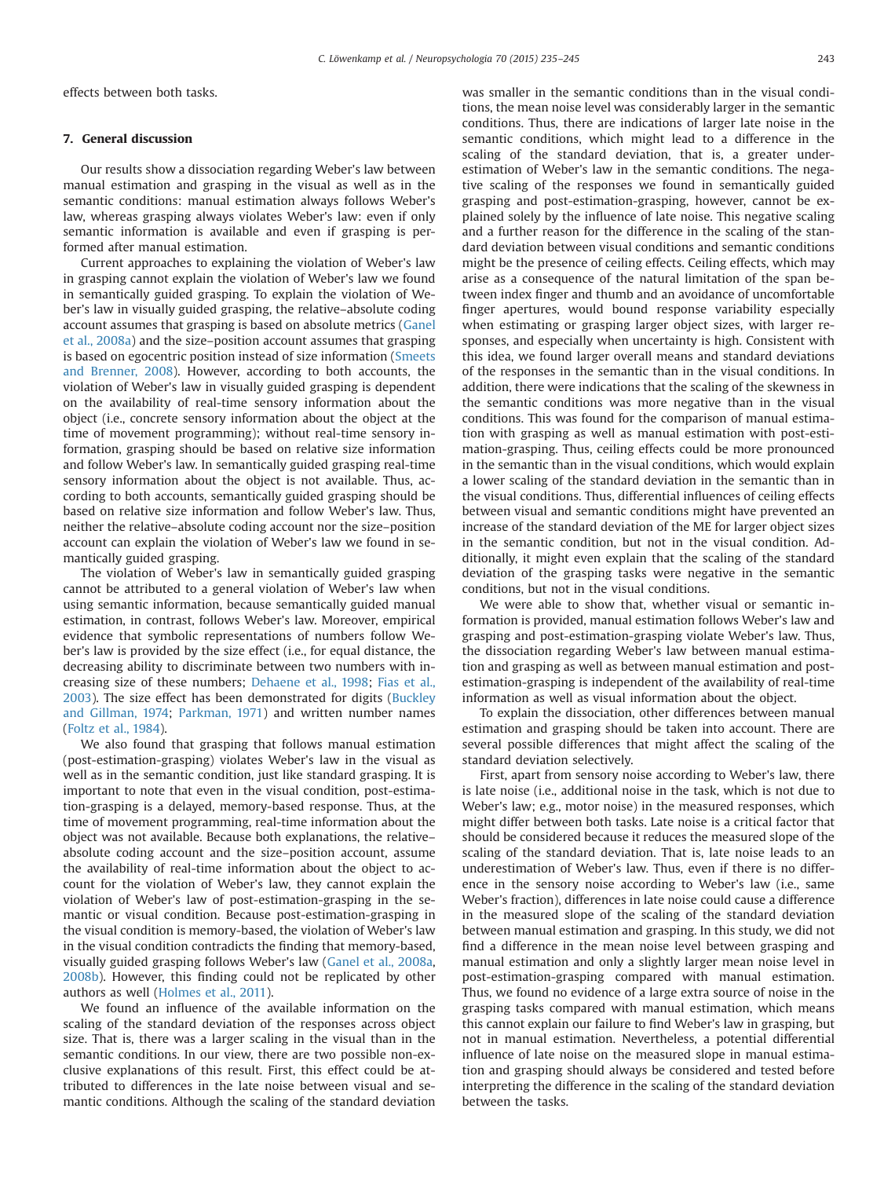<span id="page-8-0"></span>effects between both tasks.

### 7. General discussion

Our results show a dissociation regarding Weber's law between manual estimation and grasping in the visual as well as in the semantic conditions: manual estimation always follows Weber's law, whereas grasping always violates Weber's law: even if only semantic information is available and even if grasping is performed after manual estimation.

Current approaches to explaining the violation of Weber's law in grasping cannot explain the violation of Weber's law we found in semantically guided grasping. To explain the violation of Weber's law in visually guided grasping, the relative–absolute coding account assumes that grasping is based on absolute metrics ([Ganel](#page-10-0) [et al., 2008a](#page-10-0)) and the size–position account assumes that grasping is based on egocentric position instead of size information [\(Smeets](#page-10-0) [and Brenner, 2008\)](#page-10-0). However, according to both accounts, the violation of Weber's law in visually guided grasping is dependent on the availability of real-time sensory information about the object (i.e., concrete sensory information about the object at the time of movement programming); without real-time sensory information, grasping should be based on relative size information and follow Weber's law. In semantically guided grasping real-time sensory information about the object is not available. Thus, according to both accounts, semantically guided grasping should be based on relative size information and follow Weber's law. Thus, neither the relative–absolute coding account nor the size–position account can explain the violation of Weber's law we found in semantically guided grasping.

The violation of Weber's law in semantically guided grasping cannot be attributed to a general violation of Weber's law when using semantic information, because semantically guided manual estimation, in contrast, follows Weber's law. Moreover, empirical evidence that symbolic representations of numbers follow Weber's law is provided by the size effect (i.e., for equal distance, the decreasing ability to discriminate between two numbers with increasing size of these numbers; [Dehaene et al., 1998](#page-9-0); [Fias et al.,](#page-9-0) [2003\)](#page-9-0). The size effect has been demonstrated for digits [\(Buckley](#page-9-0) [and Gillman, 1974;](#page-9-0) [Parkman, 1971](#page-10-0)) and written number names ([Foltz et al., 1984\)](#page-9-0).

We also found that grasping that follows manual estimation (post-estimation-grasping) violates Weber's law in the visual as well as in the semantic condition, just like standard grasping. It is important to note that even in the visual condition, post-estimation-grasping is a delayed, memory-based response. Thus, at the time of movement programming, real-time information about the object was not available. Because both explanations, the relative– absolute coding account and the size–position account, assume the availability of real-time information about the object to account for the violation of Weber's law, they cannot explain the violation of Weber's law of post-estimation-grasping in the semantic or visual condition. Because post-estimation-grasping in the visual condition is memory-based, the violation of Weber's law in the visual condition contradicts the finding that memory-based, visually guided grasping follows Weber's law ([Ganel et al., 2008a,](#page-10-0) [2008b\)](#page-10-0). However, this finding could not be replicated by other authors as well ([Holmes et al., 2011\)](#page-10-0).

We found an influence of the available information on the scaling of the standard deviation of the responses across object size. That is, there was a larger scaling in the visual than in the semantic conditions. In our view, there are two possible non-exclusive explanations of this result. First, this effect could be attributed to differences in the late noise between visual and semantic conditions. Although the scaling of the standard deviation was smaller in the semantic conditions than in the visual conditions, the mean noise level was considerably larger in the semantic conditions. Thus, there are indications of larger late noise in the semantic conditions, which might lead to a difference in the scaling of the standard deviation, that is, a greater underestimation of Weber's law in the semantic conditions. The negative scaling of the responses we found in semantically guided grasping and post-estimation-grasping, however, cannot be explained solely by the influence of late noise. This negative scaling and a further reason for the difference in the scaling of the standard deviation between visual conditions and semantic conditions might be the presence of ceiling effects. Ceiling effects, which may arise as a consequence of the natural limitation of the span between index finger and thumb and an avoidance of uncomfortable finger apertures, would bound response variability especially when estimating or grasping larger object sizes, with larger responses, and especially when uncertainty is high. Consistent with this idea, we found larger overall means and standard deviations of the responses in the semantic than in the visual conditions. In addition, there were indications that the scaling of the skewness in the semantic conditions was more negative than in the visual conditions. This was found for the comparison of manual estimation with grasping as well as manual estimation with post-estimation-grasping. Thus, ceiling effects could be more pronounced in the semantic than in the visual conditions, which would explain a lower scaling of the standard deviation in the semantic than in the visual conditions. Thus, differential influences of ceiling effects between visual and semantic conditions might have prevented an increase of the standard deviation of the ME for larger object sizes in the semantic condition, but not in the visual condition. Additionally, it might even explain that the scaling of the standard deviation of the grasping tasks were negative in the semantic conditions, but not in the visual conditions.

We were able to show that, whether visual or semantic information is provided, manual estimation follows Weber's law and grasping and post-estimation-grasping violate Weber's law. Thus, the dissociation regarding Weber's law between manual estimation and grasping as well as between manual estimation and postestimation-grasping is independent of the availability of real-time information as well as visual information about the object.

To explain the dissociation, other differences between manual estimation and grasping should be taken into account. There are several possible differences that might affect the scaling of the standard deviation selectively.

First, apart from sensory noise according to Weber's law, there is late noise (i.e., additional noise in the task, which is not due to Weber's law; e.g., motor noise) in the measured responses, which might differ between both tasks. Late noise is a critical factor that should be considered because it reduces the measured slope of the scaling of the standard deviation. That is, late noise leads to an underestimation of Weber's law. Thus, even if there is no difference in the sensory noise according to Weber's law (i.e., same Weber's fraction), differences in late noise could cause a difference in the measured slope of the scaling of the standard deviation between manual estimation and grasping. In this study, we did not find a difference in the mean noise level between grasping and manual estimation and only a slightly larger mean noise level in post-estimation-grasping compared with manual estimation. Thus, we found no evidence of a large extra source of noise in the grasping tasks compared with manual estimation, which means this cannot explain our failure to find Weber's law in grasping, but not in manual estimation. Nevertheless, a potential differential influence of late noise on the measured slope in manual estimation and grasping should always be considered and tested before interpreting the difference in the scaling of the standard deviation between the tasks.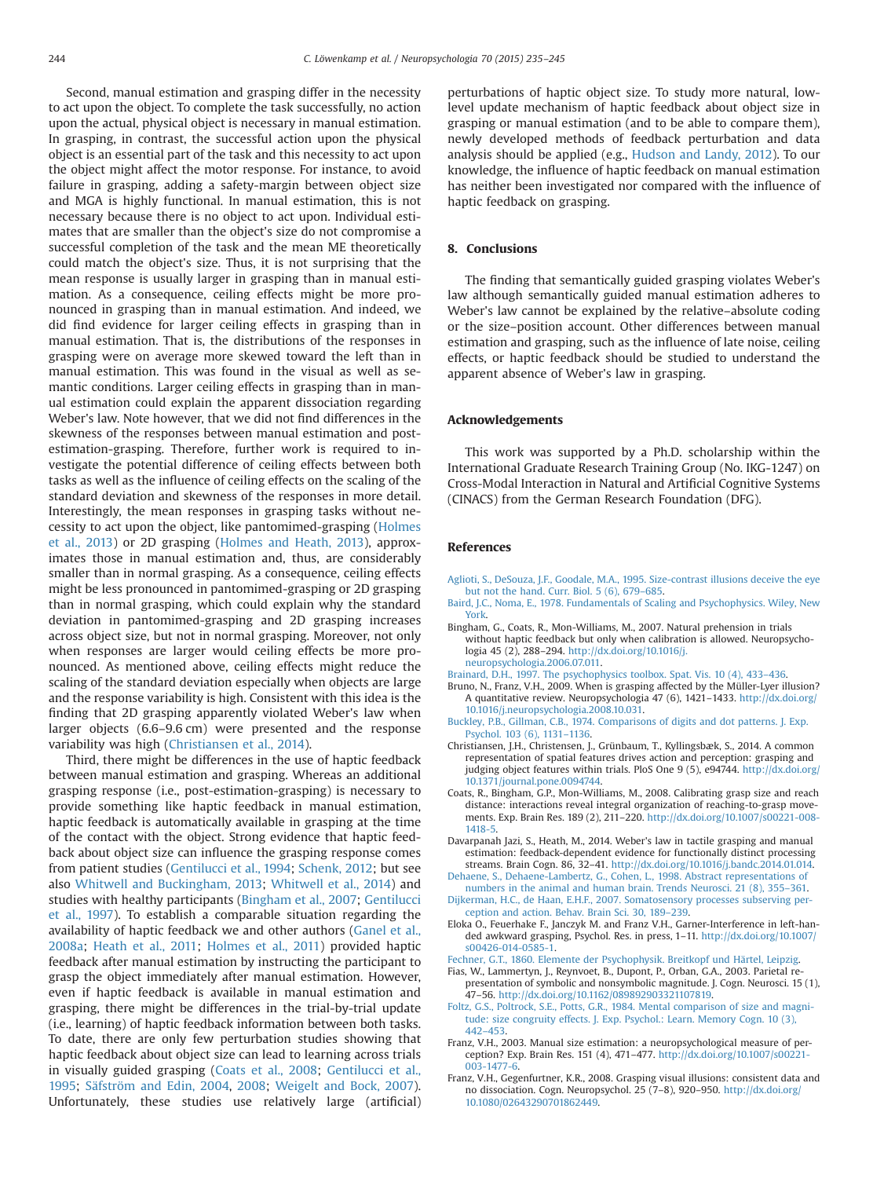<span id="page-9-0"></span>Second, manual estimation and grasping differ in the necessity to act upon the object. To complete the task successfully, no action upon the actual, physical object is necessary in manual estimation. In grasping, in contrast, the successful action upon the physical object is an essential part of the task and this necessity to act upon the object might affect the motor response. For instance, to avoid failure in grasping, adding a safety-margin between object size and MGA is highly functional. In manual estimation, this is not necessary because there is no object to act upon. Individual estimates that are smaller than the object's size do not compromise a successful completion of the task and the mean ME theoretically could match the object's size. Thus, it is not surprising that the mean response is usually larger in grasping than in manual estimation. As a consequence, ceiling effects might be more pronounced in grasping than in manual estimation. And indeed, we did find evidence for larger ceiling effects in grasping than in manual estimation. That is, the distributions of the responses in grasping were on average more skewed toward the left than in manual estimation. This was found in the visual as well as semantic conditions. Larger ceiling effects in grasping than in manual estimation could explain the apparent dissociation regarding Weber's law. Note however, that we did not find differences in the skewness of the responses between manual estimation and postestimation-grasping. Therefore, further work is required to investigate the potential difference of ceiling effects between both tasks as well as the influence of ceiling effects on the scaling of the standard deviation and skewness of the responses in more detail. Interestingly, the mean responses in grasping tasks without necessity to act upon the object, like pantomimed-grasping [\(Holmes](#page-10-0) [et al., 2013](#page-10-0)) or 2D grasping [\(Holmes and Heath, 2013](#page-10-0)), approximates those in manual estimation and, thus, are considerably smaller than in normal grasping. As a consequence, ceiling effects might be less pronounced in pantomimed-grasping or 2D grasping than in normal grasping, which could explain why the standard deviation in pantomimed-grasping and 2D grasping increases across object size, but not in normal grasping. Moreover, not only when responses are larger would ceiling effects be more pronounced. As mentioned above, ceiling effects might reduce the scaling of the standard deviation especially when objects are large and the response variability is high. Consistent with this idea is the finding that 2D grasping apparently violated Weber's law when larger objects (6.6–9.6 cm) were presented and the response variability was high (Christiansen et al., 2014).

Third, there might be differences in the use of haptic feedback between manual estimation and grasping. Whereas an additional grasping response (i.e., post-estimation-grasping) is necessary to provide something like haptic feedback in manual estimation, haptic feedback is automatically available in grasping at the time of the contact with the object. Strong evidence that haptic feedback about object size can influence the grasping response comes from patient studies ([Gentilucci et al., 1994;](#page-10-0) [Schenk, 2012](#page-10-0); but see also [Whitwell and Buckingham, 2013;](#page-10-0) [Whitwell et al., 2014](#page-10-0)) and studies with healthy participants (Bingham et al., 2007; [Gentilucci](#page-10-0) [et al., 1997\)](#page-10-0). To establish a comparable situation regarding the availability of haptic feedback we and other authors ([Ganel et al.,](#page-10-0) [2008a](#page-10-0); [Heath et al., 2011;](#page-10-0) [Holmes et al., 2011\)](#page-10-0) provided haptic feedback after manual estimation by instructing the participant to grasp the object immediately after manual estimation. However, even if haptic feedback is available in manual estimation and grasping, there might be differences in the trial-by-trial update (i.e., learning) of haptic feedback information between both tasks. To date, there are only few perturbation studies showing that haptic feedback about object size can lead to learning across trials in visually guided grasping (Coats et al., 2008; [Gentilucci et al.,](#page-10-0) [1995](#page-10-0); [Säfström and Edin, 2004](#page-10-0), [2008](#page-10-0); [Weigelt and Bock, 2007\)](#page-10-0). Unfortunately, these studies use relatively large (artificial) perturbations of haptic object size. To study more natural, lowlevel update mechanism of haptic feedback about object size in grasping or manual estimation (and to be able to compare them), newly developed methods of feedback perturbation and data analysis should be applied (e.g., [Hudson and Landy, 2012](#page-10-0)). To our knowledge, the influence of haptic feedback on manual estimation has neither been investigated nor compared with the influence of haptic feedback on grasping.

### 8. Conclusions

The finding that semantically guided grasping violates Weber's law although semantically guided manual estimation adheres to Weber's law cannot be explained by the relative–absolute coding or the size–position account. Other differences between manual estimation and grasping, such as the influence of late noise, ceiling effects, or haptic feedback should be studied to understand the apparent absence of Weber's law in grasping.

### Acknowledgements

This work was supported by a Ph.D. scholarship within the International Graduate Research Training Group (No. IKG-1247) on Cross-Modal Interaction in Natural and Artificial Cognitive Systems (CINACS) from the German Research Foundation (DFG).

### References

- [Aglioti, S., DeSouza, J.F., Goodale, M.A., 1995. Size-contrast illusions deceive the eye](http://refhub.elsevier.com/S0028-3932(15)00104-9/sbref1) [but not the hand. Curr. Biol. 5 \(6\), 679](http://refhub.elsevier.com/S0028-3932(15)00104-9/sbref1)–685.
- [Baird, J.C., Noma, E., 1978. Fundamentals of Scaling and Psychophysics. Wiley, New](http://refhub.elsevier.com/S0028-3932(15)00104-9/sbref2) [York.](http://refhub.elsevier.com/S0028-3932(15)00104-9/sbref2)
- Bingham, G., Coats, R., Mon-Williams, M., 2007. Natural prehension in trials without haptic feedback but only when calibration is allowed. Neuropsychologia 45 (2), 288–294. [http://dx.doi.org/10.1016/j.](http://dx.doi.org/10.1016/j.neuropsychologia.2006.07.011) [neuropsychologia.2006.07.011.](http://dx.doi.org/10.1016/j.neuropsychologia.2006.07.011)
- [Brainard, D.H., 1997. The psychophysics toolbox. Spat. Vis. 10 \(4\), 433](http://refhub.elsevier.com/S0028-3932(15)00104-9/sbref4)–436.
- Bruno, N., Franz, V.H., 2009. When is grasping affected by the Müller-Lyer illusion? A quantitative review. Neuropsychologia 47 (6), 1421–1433. [http://dx.doi.org/](http://dx.doi.org/10.1016/j.neuropsychologia.2008.10.031) [10.1016/j.neuropsychologia.2008.10.031](http://dx.doi.org/10.1016/j.neuropsychologia.2008.10.031).
- [Buckley, P.B., Gillman, C.B., 1974. Comparisons of digits and dot patterns. J. Exp.](http://refhub.elsevier.com/S0028-3932(15)00104-9/sbref6) [Psychol. 103 \(6\), 1131](http://refhub.elsevier.com/S0028-3932(15)00104-9/sbref6)–1136.
- Christiansen, J.H., Christensen, J., Grünbaum, T., Kyllingsbæk, S., 2014. A common representation of spatial features drives action and perception: grasping and judging object features within trials. PloS One 9 (5), e94744. [http://dx.doi.org/](http://dx.doi.org/10.1371/journal.pone.0094744) [10.1371/journal.pone.0094744.](http://dx.doi.org/10.1371/journal.pone.0094744)
- Coats, R., Bingham, G.P., Mon-Williams, M., 2008. Calibrating grasp size and reach distance: interactions reveal integral organization of reaching-to-grasp movements. Exp. Brain Res. 189 (2), 211–220. [http://dx.doi.org/10.1007/s00221-008-](http://dx.doi.org/10.1007/s00221-008-1418-5) [1418-5](http://dx.doi.org/10.1007/s00221-008-1418-5).
- Davarpanah Jazi, S., Heath, M., 2014. Weber's law in tactile grasping and manual estimation: feedback-dependent evidence for functionally distinct processing streams. Brain Cogn. 86, 32–41. <http://dx.doi.org/10.1016/j.bandc.2014.01.014>.
- [Dehaene, S., Dehaene-Lambertz, G., Cohen, L., 1998. Abstract representations of](http://refhub.elsevier.com/S0028-3932(15)00104-9/sbref10)
- [numbers in the animal and human brain. Trends Neurosci. 21 \(8\), 355](http://refhub.elsevier.com/S0028-3932(15)00104-9/sbref10)–361. [Dijkerman, H.C., de Haan, E.H.F., 2007. Somatosensory processes subserving per](http://refhub.elsevier.com/S0028-3932(15)00104-9/sbref11)[ception and action. Behav. Brain Sci. 30, 189](http://refhub.elsevier.com/S0028-3932(15)00104-9/sbref11)–239.
- Eloka O., Feuerhake F., Janczyk M. and Franz V.H., Garner-Interference in left-handed awkward grasping, Psychol. Res. in press, 1–11. [http://dx.doi.org/10.1007/](http://dx.doi.org/10.1007/s00426-014-0585-1) [s00426-014-0585-1.](http://dx.doi.org/10.1007/s00426-014-0585-1)

[Fechner, G.T., 1860. Elemente der Psychophysik. Breitkopf und Härtel, Leipzig.](http://refhub.elsevier.com/S0028-3932(15)00104-9/sbref13)

- Fias, W., Lammertyn, J., Reynvoet, B., Dupont, P., Orban, G.A., 2003. Parietal representation of symbolic and nonsymbolic magnitude. J. Cogn. Neurosci. 15 (1), 47–56. <http://dx.doi.org/10.1162/089892903321107819>.
- [Foltz, G.S., Poltrock, S.E., Potts, G.R., 1984. Mental comparison of size and magni](http://refhub.elsevier.com/S0028-3932(15)00104-9/sbref15)[tude: size congruity effects. J. Exp. Psychol.: Learn. Memory Cogn. 10 \(3\),](http://refhub.elsevier.com/S0028-3932(15)00104-9/sbref15) [442](http://refhub.elsevier.com/S0028-3932(15)00104-9/sbref15)–[453.](http://refhub.elsevier.com/S0028-3932(15)00104-9/sbref15)
- Franz, V.H., 2003. Manual size estimation: a neuropsychological measure of perception? Exp. Brain Res. 151 (4), 471–477. [http://dx.doi.org/10.1007/s00221-](http://dx.doi.org/10.1007/s00221-003-1477-6) [003-1477-6.](http://dx.doi.org/10.1007/s00221-003-1477-6)
- Franz, V.H., Gegenfurtner, K.R., 2008. Grasping visual illusions: consistent data and no dissociation. Cogn. Neuropsychol. 25 (7–8), 920–950. [http://dx.doi.org/](http://dx.doi.org/10.1080/02643290701862449) [10.1080/02643290701862449.](http://dx.doi.org/10.1080/02643290701862449)